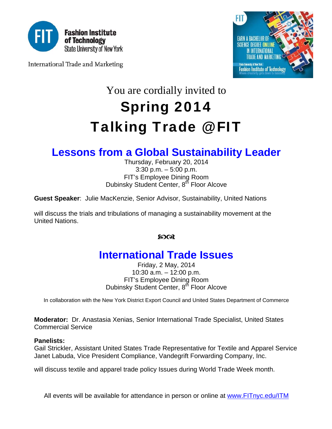

International Trade and Marketing



# You are cordially invited to Spring 2014 Talking Trade @ FIT

### **Lessons from a Global Sustainability Leader**

Thursday, February 20, 2014 3:30 p.m. – 5:00 p.m. FIT's Employee Dining Room Dubinsky Student Center, 8<sup>th</sup> Floor Alcove

**Guest Speaker**: Julie MacKenzie, Senior Advisor, Sustainability, United Nations

will discuss the trials and tribulations of managing a sustainability movement at the United Nations.

### $2003$

## **International Trade Issues**

Friday, 2 May, 2014 10:30 a.m. – 12:00 p.m. FIT's Employee Dining Room Dubinsky Student Center, 8<sup>th</sup> Floor Alcove

In collaboration with the New York District Export Council and United States Department of Commerce

**Moderator:** Dr. Anastasia Xenias, Senior International Trade Specialist, United States Commercial Service

#### **Panelists:**

Gail Strickler, Assistant United States Trade Representative for Textile and Apparel Service Janet Labuda, Vice President Compliance, Vandegrift Forwarding Company, Inc.

will discuss textile and apparel trade policy Issues during World Trade Week month.

All events will be available for attendance in person or online at www.FITnyc.edu/ITM